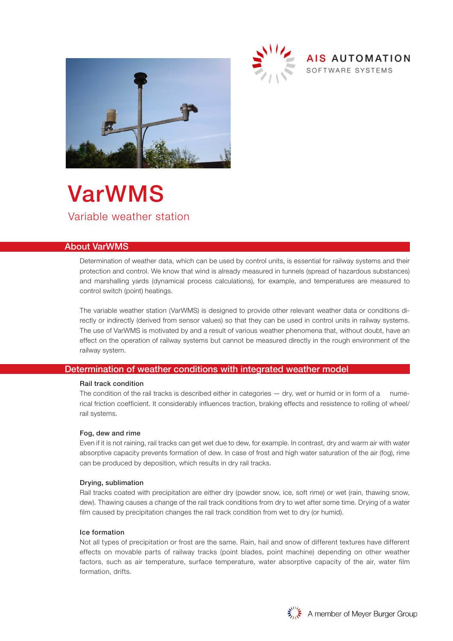



## About VarWMS

Determination of weather data, which can be used by control units, is essential for railway systems and their protection and control. We know that wind is already measured in tunnels (spread of hazardous substances) and marshalling yards (dynamical process calculations), for example, and temperatures are measured to control switch (point) heatings.

The variable weather station (VarWMS) is designed to provide other relevant weather data or conditions directly or indirectly (derived from sensor values) so that they can be used in control units in railway systems. The use of VarWMS is motivated by and a result of various weather phenomena that, without doubt, have an effect on the operation of railway systems but cannot be measured directly in the rough environment of the railway system.

## Determination of weather conditions with integrated weather model

#### Rail track condition

The condition of the rail tracks is described either in categories — dry, wet or humid or in form of a numerical friction coefficient. It considerably influences traction, braking effects and resistence to rolling of wheel/ rail systems.

#### Fog, dew and rime

Even if it is not raining, rail tracks can get wet due to dew, for example. In contrast, dry and warm air with water absorptive capacity prevents formation of dew. In case of frost and high water saturation of the air (fog), rime can be produced by deposition, which results in dry rail tracks.

#### Drying, sublimation

Rail tracks coated with precipitation are either dry (powder snow, ice, soft rime) or wet (rain, thawing snow, dew). Thawing causes a change of the rail track conditions from dry to wet after some time. Drying of a water film caused by precipitation changes the rail track condition from wet to dry (or humid).

### Ice formation

Not all types of precipitation or frost are the same. Rain, hail and snow of different textures have different effects on movable parts of railway tracks (point blades, point machine) depending on other weather factors, such as air temperature, surface temperature, water absorptive capacity of the air, water film formation, drifts.



AIS AUTOMATION

SOFTWARE SYSTEMS